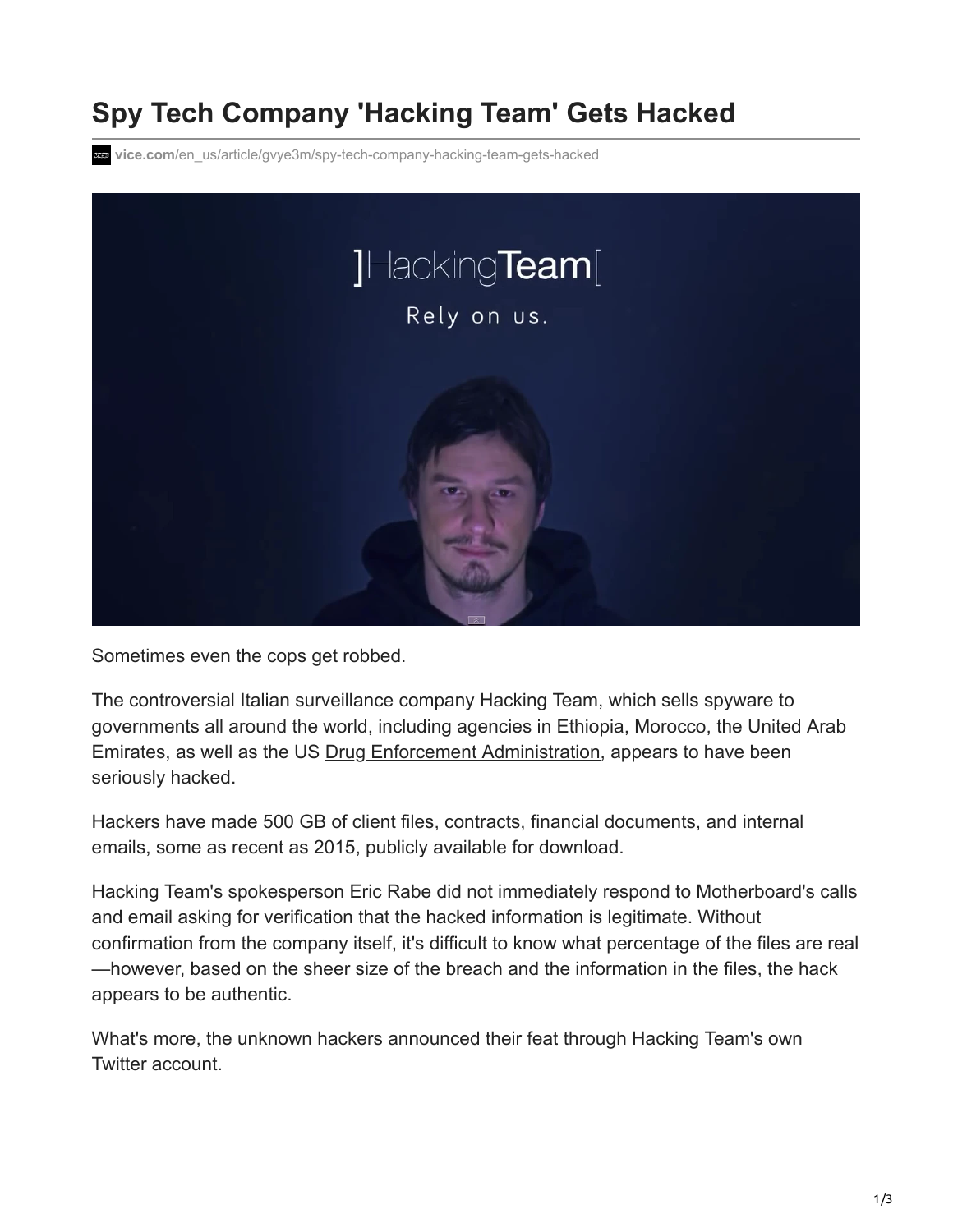## **Spy Tech Company 'Hacking Team' Gets Hacked**

**vice.com**[/en\\_us/article/gvye3m/spy-tech-company-hacking-team-gets-hacked](https://www.vice.com/en_us/article/gvye3m/spy-tech-company-hacking-team-gets-hacked)



Sometimes even the cops get robbed.

The controversial Italian surveillance company Hacking Team, which sells spyware to governments all around the world, including agencies in Ethiopia, Morocco, the United Arab Emirates, as well as the US [Drug Enforcement Administration,](http://motherboard.vice.com/read/the-dea-has-been-secretly-buying-hacking-tools-from-an-italian-company) appears to have been seriously hacked.

Hackers have made 500 GB of client files, contracts, financial documents, and internal emails, some as recent as 2015, publicly available for download.

Hacking Team's spokesperson Eric Rabe did not immediately respond to Motherboard's calls and email asking for verification that the hacked information is legitimate. Without confirmation from the company itself, it's difficult to know what percentage of the files are real —however, based on the sheer size of the breach and the information in the files, the hack appears to be authentic.

What's more, the unknown hackers announced their feat through Hacking Team's own Twitter account.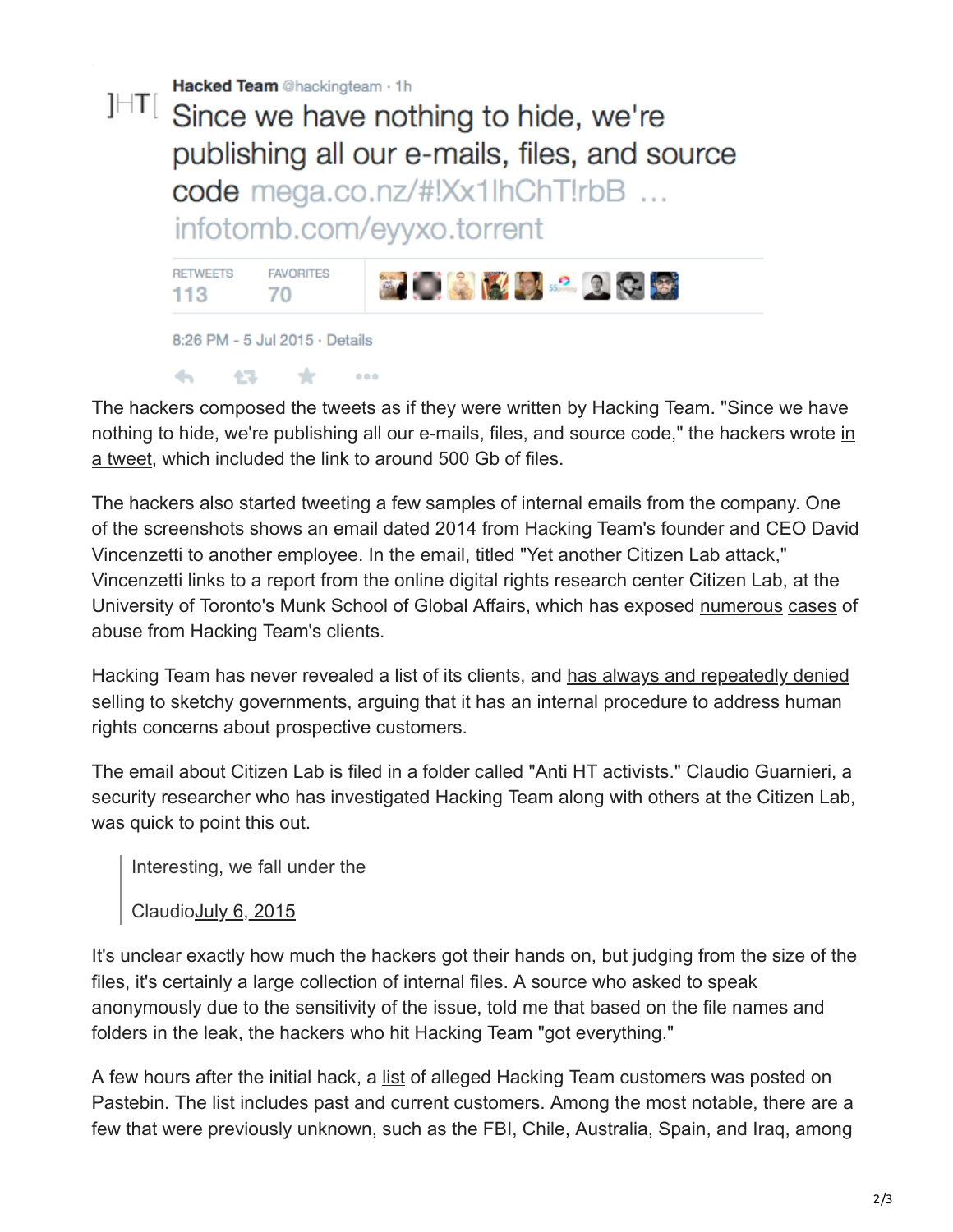

The hackers composed the tweets as if they were written by Hacking Team. "Since we have [nothing to hide, we're publishing all our e-mails, files, and source code," the hackers wrote in](https://twitter.com/hackingteam/status/617852091390935040) a tweet, which included the link to around 500 Gb of files.

The hackers also started tweeting a few samples of internal emails from the company. One of the screenshots shows an email dated 2014 from Hacking Team's founder and CEO David Vincenzetti to another employee. In the email, titled "Yet another Citizen Lab attack," Vincenzetti links to a report from the online digital rights research center Citizen Lab, at the University of Toronto's Munk School of Global Affairs, which has exposed [numerous](http://www.slate.com/blogs/future_tense/2012/08/20/moroccan_website_mamfakinch_targeted_by_government_grade_spyware_from_hacking_team_.html) [cases](http://motherboard.vice.com/read/ethiopia-allegedly-used-spyware-against-us-based-journalists-again) of abuse from Hacking Team's clients.

Hacking Team has never revealed a list of its clients, and [has always and repeatedly denied](http://t.co/qEW59NdYuy) selling to sketchy governments, arguing that it has an internal procedure to address human rights concerns about prospective customers.

The email about Citizen Lab is filed in a folder called "Anti HT activists." Claudio Guarnieri, a security researcher who has investigated Hacking Team along with others at the Citizen Lab, was quick to point this out.

Interesting, we fall under the

Claudi[oJuly 6, 2015](https://twitter.com/botherder/statuses/617871283972390912)

 $\left\langle \cdot,\cdot\right\rangle$ 

43.

 $\star$ 

 $0.000$ 

It's unclear exactly how much the hackers got their hands on, but judging from the size of the files, it's certainly a large collection of internal files. A source who asked to speak anonymously due to the sensitivity of the issue, told me that based on the file names and folders in the leak, the hackers who hit Hacking Team "got everything."

A few hours after the initial hack, a [list](http://pastebin.com/MP8zpQ26) of alleged Hacking Team customers was posted on Pastebin. The list includes past and current customers. Among the most notable, there are a few that were previously unknown, such as the FBI, Chile, Australia, Spain, and Iraq, among